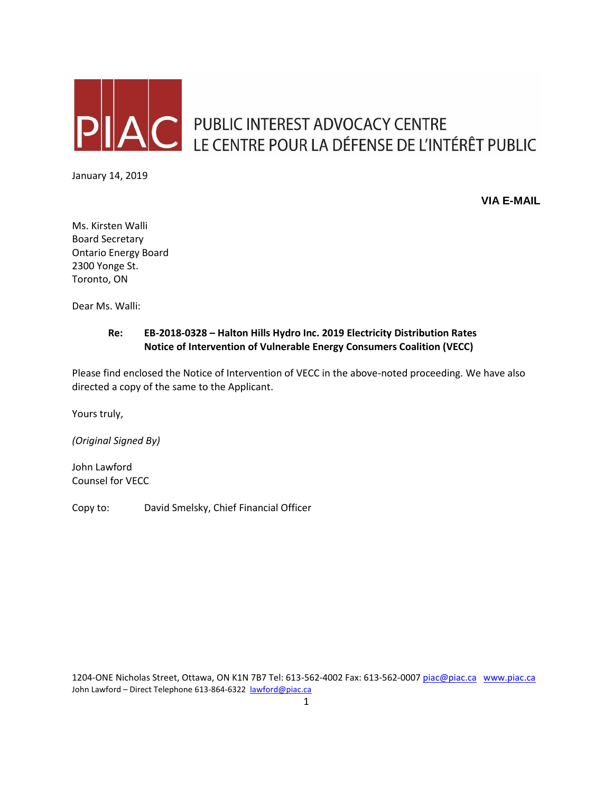

PUBLIC INTEREST ADVOCACY CENTRE LE CENTRE POUR LA DÉFENSE DE L'INTÉRÊT PUBLIC

January 14, 2019

**VIA E-MAIL**

Ms. Kirsten Walli Board Secretary Ontario Energy Board 2300 Yonge St. Toronto, ON

Dear Ms. Walli:

## **Re: EB-2018-0328 – Halton Hills Hydro Inc. 2019 Electricity Distribution Rates Notice of Intervention of Vulnerable Energy Consumers Coalition (VECC)**

Please find enclosed the Notice of Intervention of VECC in the above-noted proceeding. We have also directed a copy of the same to the Applicant.

Yours truly,

*(Original Signed By)*

John Lawford Counsel for VECC

Copy to: David Smelsky, Chief Financial Officer

1204-ONE Nicholas Street, Ottawa, ON K1N 7B7 Tel: 613-562-4002 Fax: 613-562-000[7 piac@piac.ca](mailto:piac@piac.ca) [www.piac.ca](http://www.piac.ca/) John Lawford - Direct Telephone 613-864-6322 [lawford@piac.ca](mailto:lawford@piac.ca)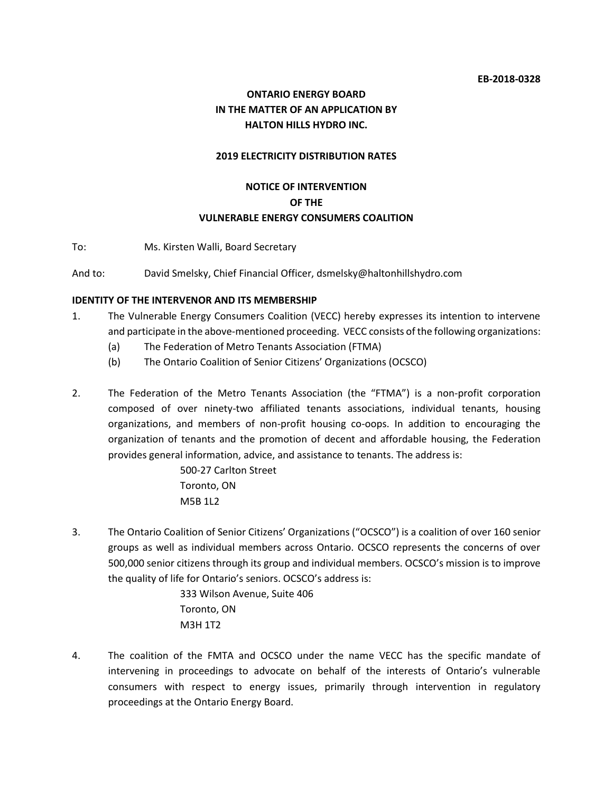## **ONTARIO ENERGY BOARD IN THE MATTER OF AN APPLICATION BY HALTON HILLS HYDRO INC.**

#### **2019 ELECTRICITY DISTRIBUTION RATES**

# **NOTICE OF INTERVENTION OF THE VULNERABLE ENERGY CONSUMERS COALITION**

To: Ms. Kirsten Walli, Board Secretary

And to: David Smelsky, Chief Financial Officer, dsmelsky@haltonhillshydro.com

#### **IDENTITY OF THE INTERVENOR AND ITS MEMBERSHIP**

- 1. The Vulnerable Energy Consumers Coalition (VECC) hereby expresses its intention to intervene and participate in the above-mentioned proceeding. VECC consists of the following organizations:
	- (a) The Federation of Metro Tenants Association (FTMA)
	- (b) The Ontario Coalition of Senior Citizens' Organizations (OCSCO)
- 2. The Federation of the Metro Tenants Association (the "FTMA") is a non-profit corporation composed of over ninety-two affiliated tenants associations, individual tenants, housing organizations, and members of non-profit housing co-oops. In addition to encouraging the organization of tenants and the promotion of decent and affordable housing, the Federation provides general information, advice, and assistance to tenants. The address is:

500-27 Carlton Street Toronto, ON M5B 1L2

3. The Ontario Coalition of Senior Citizens' Organizations ("OCSCO") is a coalition of over 160 senior groups as well as individual members across Ontario. OCSCO represents the concerns of over 500,000 senior citizens through its group and individual members. OCSCO's mission is to improve the quality of life for Ontario's seniors. OCSCO's address is:

> 333 Wilson Avenue, Suite 406 Toronto, ON M3H 1T2

4. The coalition of the FMTA and OCSCO under the name VECC has the specific mandate of intervening in proceedings to advocate on behalf of the interests of Ontario's vulnerable consumers with respect to energy issues, primarily through intervention in regulatory proceedings at the Ontario Energy Board.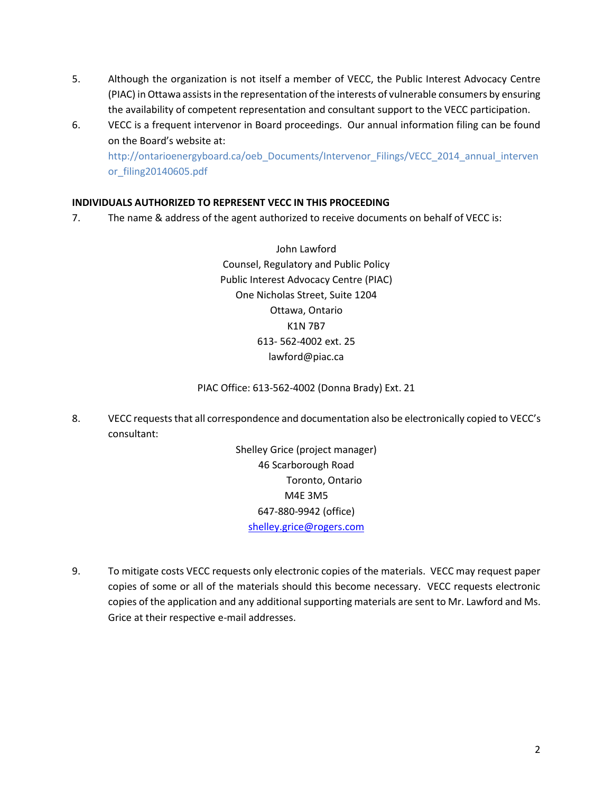- 5. Although the organization is not itself a member of VECC, the Public Interest Advocacy Centre (PIAC) in Ottawa assists in the representation of the interests of vulnerable consumers by ensuring the availability of competent representation and consultant support to the VECC participation.
- 6. VECC is a frequent intervenor in Board proceedings. Our annual information filing can be found on the Board's website at:

http://ontarioenergyboard.ca/oeb\_Documents/Intervenor\_Filings/VECC\_2014\_annual\_interven or\_filing20140605.pdf

## **INDIVIDUALS AUTHORIZED TO REPRESENT VECC IN THIS PROCEEDING**

7. The name & address of the agent authorized to receive documents on behalf of VECC is:

John Lawford Counsel, Regulatory and Public Policy Public Interest Advocacy Centre (PIAC) One Nicholas Street, Suite 1204 Ottawa, Ontario K1N 7B7 613- 562-4002 ext. 25 lawford@piac.ca

#### PIAC Office: 613-562-4002 (Donna Brady) Ext. 21

8. VECC requeststhat all correspondence and documentation also be electronically copied to VECC's consultant:

> Shelley Grice (project manager) 46 Scarborough Road Toronto, Ontario M4E 3M5 647-880-9942 (office) [shelley.grice@rogers.com](mailto:shelley.grice@rogers.com)

9. To mitigate costs VECC requests only electronic copies of the materials. VECC may request paper copies of some or all of the materials should this become necessary. VECC requests electronic copies of the application and any additional supporting materials are sent to Mr. Lawford and Ms. Grice at their respective e-mail addresses.